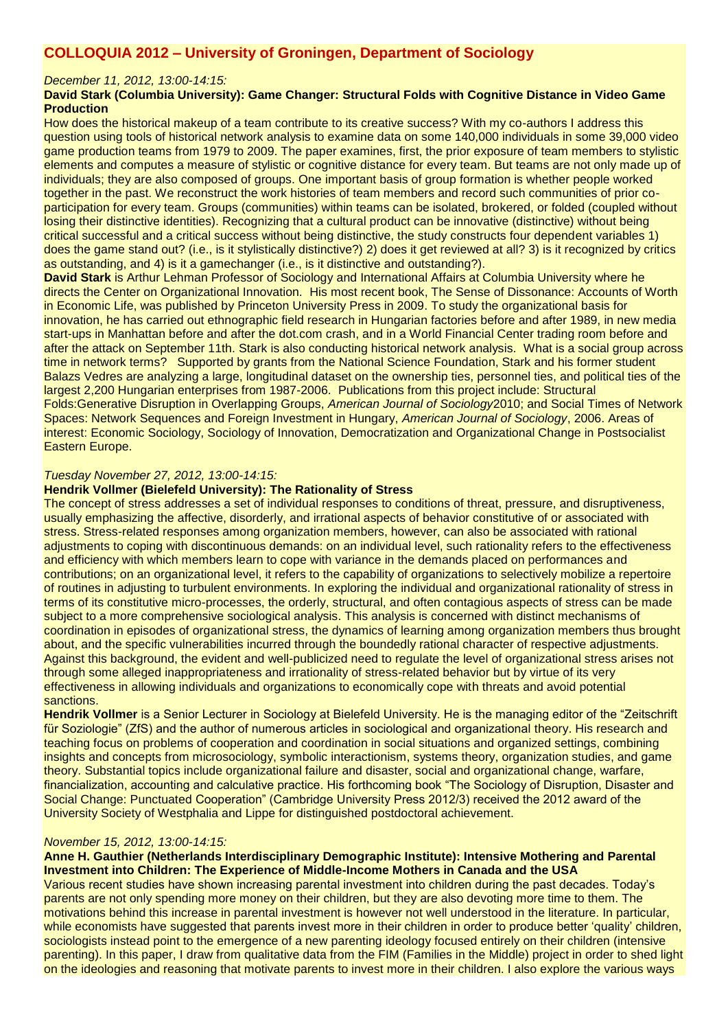# **COLLOQUIA 2012 – University of Groningen, Department of Sociology**

#### *December 11, 2012, 13:00-14:15:*

# **David Stark (Columbia University): Game Changer: Structural Folds with Cognitive Distance in Video Game Production**

How does the historical makeup of a team contribute to its creative success? With my co-authors I address this question using tools of historical network analysis to examine data on some 140,000 individuals in some 39,000 video game production teams from 1979 to 2009. The paper examines, first, the prior exposure of team members to stylistic elements and computes a measure of stylistic or cognitive distance for every team. But teams are not only made up of individuals; they are also composed of groups. One important basis of group formation is whether people worked together in the past. We reconstruct the work histories of team members and record such communities of prior coparticipation for every team. Groups (communities) within teams can be isolated, brokered, or folded (coupled without losing their distinctive identities). Recognizing that a cultural product can be innovative (distinctive) without being critical successful and a critical success without being distinctive, the study constructs four dependent variables 1) does the game stand out? (i.e., is it stylistically distinctive?) 2) does it get reviewed at all? 3) is it recognized by critics as outstanding, and 4) is it a gamechanger (i.e., is it distinctive and outstanding?).

**David Stark** is Arthur Lehman Professor of Sociology and International Affairs at Columbia University where he directs the Center on Organizational Innovation. His most recent book, The Sense of Dissonance: Accounts of Worth in Economic Life, was published by Princeton University Press in 2009. To study the organizational basis for innovation, he has carried out ethnographic field research in Hungarian factories before and after 1989, in new media start-ups in Manhattan before and after the dot.com crash, and in a World Financial Center trading room before and after the attack on September 11th. Stark is also conducting historical network analysis. What is a social group across time in network terms? Supported by grants from the National Science Foundation, Stark and his former student Balazs Vedres are analyzing a large, longitudinal dataset on the ownership ties, personnel ties, and political ties of the largest 2,200 Hungarian enterprises from 1987-2006. Publications from this project include: Structural Folds:Generative Disruption in Overlapping Groups, *American Journal of Sociology*2010; and Social Times of Network Spaces: Network Sequences and Foreign Investment in Hungary, *American Journal of Sociology*, 2006. Areas of interest: Economic Sociology, Sociology of Innovation, Democratization and Organizational Change in Postsocialist Eastern Europe.

# *Tuesday November 27, 2012, 13:00-14:15:*

## **Hendrik Vollmer (Bielefeld University): The Rationality of Stress**

The concept of stress addresses a set of individual responses to conditions of threat, pressure, and disruptiveness, usually emphasizing the affective, disorderly, and irrational aspects of behavior constitutive of or associated with stress. Stress-related responses among organization members, however, can also be associated with rational adjustments to coping with discontinuous demands: on an individual level, such rationality refers to the effectiveness and efficiency with which members learn to cope with variance in the demands placed on performances and contributions; on an organizational level, it refers to the capability of organizations to selectively mobilize a repertoire of routines in adjusting to turbulent environments. In exploring the individual and organizational rationality of stress in terms of its constitutive micro-processes, the orderly, structural, and often contagious aspects of stress can be made subject to a more comprehensive sociological analysis. This analysis is concerned with distinct mechanisms of coordination in episodes of organizational stress, the dynamics of learning among organization members thus brought about, and the specific vulnerabilities incurred through the boundedly rational character of respective adjustments. Against this background, the evident and well-publicized need to regulate the level of organizational stress arises not through some alleged inappropriateness and irrationality of stress-related behavior but by virtue of its very effectiveness in allowing individuals and organizations to economically cope with threats and avoid potential sanctions.

**Hendrik Vollmer** is a Senior Lecturer in Sociology at Bielefeld University. He is the managing editor of the "Zeitschrift für Soziologie" (ZfS) and the author of numerous articles in sociological and organizational theory. His research and teaching focus on problems of cooperation and coordination in social situations and organized settings, combining insights and concepts from microsociology, symbolic interactionism, systems theory, organization studies, and game theory. Substantial topics include organizational failure and disaster, social and organizational change, warfare, financialization, accounting and calculative practice. His forthcoming book "The Sociology of Disruption, Disaster and Social Change: Punctuated Cooperation" (Cambridge University Press 2012/3) received the 2012 award of the University Society of Westphalia and Lippe for distinguished postdoctoral achievement.

#### *November 15, 2012, 13:00-14:15:*

#### **Anne H. Gauthier (Netherlands Interdisciplinary Demographic Institute): Intensive Mothering and Parental Investment into Children: The Experience of Middle-Income Mothers in Canada and the USA**

Various recent studies have shown increasing parental investment into children during the past decades. Today's parents are not only spending more money on their children, but they are also devoting more time to them. The motivations behind this increase in parental investment is however not well understood in the literature. In particular, while economists have suggested that parents invest more in their children in order to produce better 'quality' children, sociologists instead point to the emergence of a new parenting ideology focused entirely on their children (intensive parenting). In this paper, I draw from qualitative data from the FIM (Families in the Middle) project in order to shed light on the ideologies and reasoning that motivate parents to invest more in their children. I also explore the various ways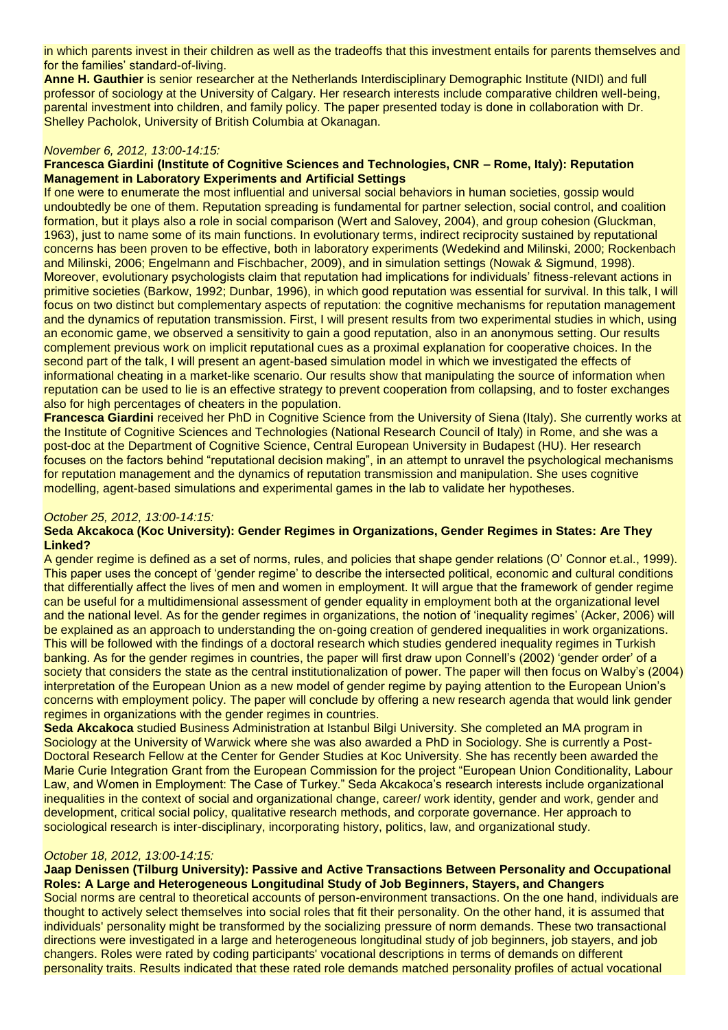in which parents invest in their children as well as the tradeoffs that this investment entails for parents themselves and for the families' standard-of-living.

**Anne H. Gauthier** is senior researcher at the Netherlands Interdisciplinary Demographic Institute (NIDI) and full professor of sociology at the University of Calgary. Her research interests include comparative children well-being, parental investment into children, and family policy. The paper presented today is done in collaboration with Dr. Shelley Pacholok, University of British Columbia at Okanagan.

#### *November 6, 2012, 13:00-14:15:*

#### **Francesca Giardini (Institute of Cognitive Sciences and Technologies, CNR – Rome, Italy): Reputation Management in Laboratory Experiments and Artificial Settings**

If one were to enumerate the most influential and universal social behaviors in human societies, gossip would undoubtedly be one of them. Reputation spreading is fundamental for partner selection, social control, and coalition formation, but it plays also a role in social comparison (Wert and Salovey, 2004), and group cohesion (Gluckman, 1963), just to name some of its main functions. In evolutionary terms, indirect reciprocity sustained by reputational concerns has been proven to be effective, both in laboratory experiments (Wedekind and Milinski, 2000; Rockenbach and Milinski, 2006; Engelmann and Fischbacher, 2009), and in simulation settings (Nowak & Sigmund, 1998). Moreover, evolutionary psychologists claim that reputation had implications for individuals' fitness-relevant actions in primitive societies (Barkow, 1992; Dunbar, 1996), in which good reputation was essential for survival. In this talk, I will focus on two distinct but complementary aspects of reputation: the cognitive mechanisms for reputation management and the dynamics of reputation transmission. First, I will present results from two experimental studies in which, using an economic game, we observed a sensitivity to gain a good reputation, also in an anonymous setting. Our results complement previous work on implicit reputational cues as a proximal explanation for cooperative choices. In the second part of the talk, I will present an agent-based simulation model in which we investigated the effects of informational cheating in a market-like scenario. Our results show that manipulating the source of information when reputation can be used to lie is an effective strategy to prevent cooperation from collapsing, and to foster exchanges also for high percentages of cheaters in the population.

**Francesca Giardini** received her PhD in Cognitive Science from the University of Siena (Italy). She currently works at the Institute of Cognitive Sciences and Technologies (National Research Council of Italy) in Rome, and she was a post-doc at the Department of Cognitive Science, Central European University in Budapest (HU). Her research focuses on the factors behind "reputational decision making", in an attempt to unravel the psychological mechanisms for reputation management and the dynamics of reputation transmission and manipulation. She uses cognitive modelling, agent-based simulations and experimental games in the lab to validate her hypotheses.

#### *October 25, 2012, 13:00-14:15:*

#### **Seda Akcakoca (Koc University): Gender Regimes in Organizations, Gender Regimes in States: Are They Linked?**

A gender regime is defined as a set of norms, rules, and policies that shape gender relations (O' Connor et.al., 1999). This paper uses the concept of 'gender regime' to describe the intersected political, economic and cultural conditions that differentially affect the lives of men and women in employment. It will argue that the framework of gender regime can be useful for a multidimensional assessment of gender equality in employment both at the organizational level and the national level. As for the gender regimes in organizations, the notion of 'inequality regimes' (Acker, 2006) will be explained as an approach to understanding the on-going creation of gendered inequalities in work organizations. This will be followed with the findings of a doctoral research which studies gendered inequality regimes in Turkish banking. As for the gender regimes in countries, the paper will first draw upon Connell's (2002) 'gender order' of a society that considers the state as the central institutionalization of power. The paper will then focus on Walby's (2004) interpretation of the European Union as a new model of gender regime by paying attention to the European Union's concerns with employment policy. The paper will conclude by offering a new research agenda that would link gender regimes in organizations with the gender regimes in countries.

**Seda Akcakoca** studied Business Administration at Istanbul Bilgi University. She completed an MA program in Sociology at the University of Warwick where she was also awarded a PhD in Sociology. She is currently a Post-Doctoral Research Fellow at the Center for Gender Studies at Koc University. She has recently been awarded the Marie Curie Integration Grant from the European Commission for the project "European Union Conditionality, Labour Law, and Women in Employment: The Case of Turkey." Seda Akcakoca's research interests include organizational inequalities in the context of social and organizational change, career/ work identity, gender and work, gender and development, critical social policy, qualitative research methods, and corporate governance. Her approach to sociological research is inter-disciplinary, incorporating history, politics, law, and organizational study.

#### *October 18, 2012, 13:00-14:15:*

**Jaap Denissen (Tilburg University): Passive and Active Transactions Between Personality and Occupational Roles: A Large and Heterogeneous Longitudinal Study of Job Beginners, Stayers, and Changers** Social norms are central to theoretical accounts of person-environment transactions. On the one hand, individuals are thought to actively select themselves into social roles that fit their personality. On the other hand, it is assumed that individuals' personality might be transformed by the socializing pressure of norm demands. These two transactional directions were investigated in a large and heterogeneous longitudinal study of job beginners, job stayers, and job changers. Roles were rated by coding participants' vocational descriptions in terms of demands on different personality traits. Results indicated that these rated role demands matched personality profiles of actual vocational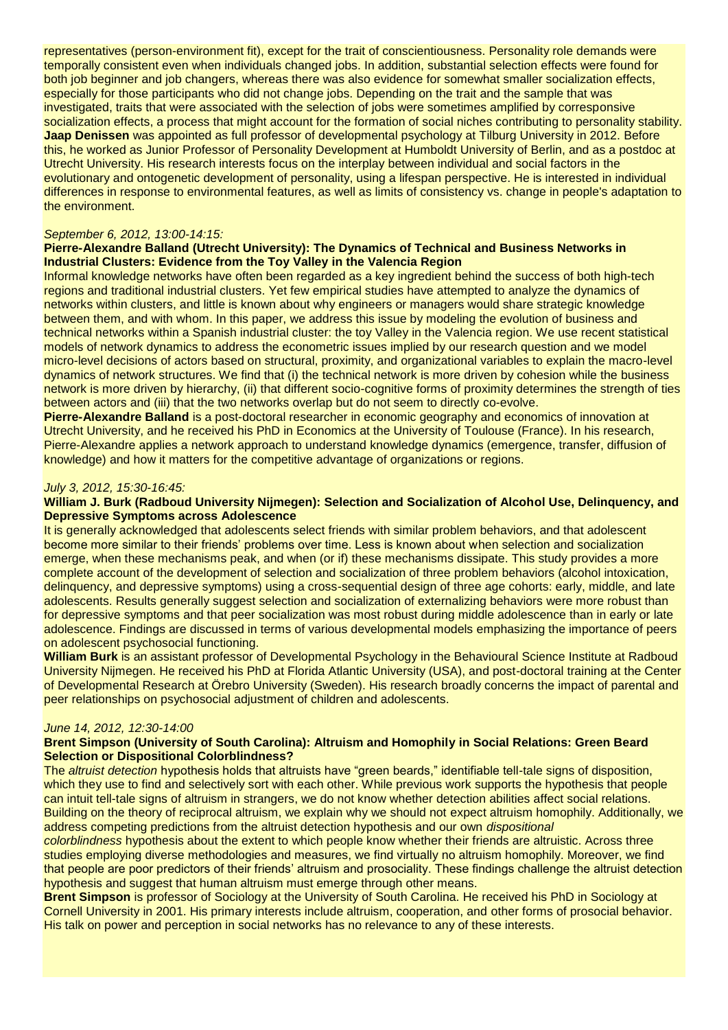representatives (person-environment fit), except for the trait of conscientiousness. Personality role demands were temporally consistent even when individuals changed jobs. In addition, substantial selection effects were found for both job beginner and job changers, whereas there was also evidence for somewhat smaller socialization effects, especially for those participants who did not change jobs. Depending on the trait and the sample that was investigated, traits that were associated with the selection of jobs were sometimes amplified by corresponsive socialization effects, a process that might account for the formation of social niches contributing to personality stability. **Jaap Denissen** was appointed as full professor of developmental psychology at Tilburg University in 2012. Before this, he worked as Junior Professor of Personality Development at Humboldt University of Berlin, and as a postdoc at Utrecht University. His research interests focus on the interplay between individual and social factors in the evolutionary and ontogenetic development of personality, using a lifespan perspective. He is interested in individual differences in response to environmental features, as well as limits of consistency vs. change in people's adaptation to the environment.

#### *September 6, 2012, 13:00-14:15:*

#### **Pierre-Alexandre Balland (Utrecht University): The Dynamics of Technical and Business Networks in Industrial Clusters: Evidence from the Toy Valley in the Valencia Region**

Informal knowledge networks have often been regarded as a key ingredient behind the success of both high-tech regions and traditional industrial clusters. Yet few empirical studies have attempted to analyze the dynamics of networks within clusters, and little is known about why engineers or managers would share strategic knowledge between them, and with whom. In this paper, we address this issue by modeling the evolution of business and technical networks within a Spanish industrial cluster: the toy Valley in the Valencia region. We use recent statistical models of network dynamics to address the econometric issues implied by our research question and we model micro-level decisions of actors based on structural, proximity, and organizational variables to explain the macro-level dynamics of network structures. We find that (i) the technical network is more driven by cohesion while the business network is more driven by hierarchy, (ii) that different socio-cognitive forms of proximity determines the strength of ties between actors and (iii) that the two networks overlap but do not seem to directly co-evolve.

**Pierre-Alexandre Balland** is a post-doctoral researcher in economic geography and economics of innovation at Utrecht University, and he received his PhD in Economics at the University of Toulouse (France). In his research, Pierre-Alexandre applies a network approach to understand knowledge dynamics (emergence, transfer, diffusion of knowledge) and how it matters for the competitive advantage of organizations or regions.

#### *July 3, 2012, 15:30-16:45:*

## **William J. Burk (Radboud University Nijmegen): Selection and Socialization of Alcohol Use, Delinquency, and Depressive Symptoms across Adolescence**

It is generally acknowledged that adolescents select friends with similar problem behaviors, and that adolescent become more similar to their friends' problems over time. Less is known about when selection and socialization emerge, when these mechanisms peak, and when (or if) these mechanisms dissipate. This study provides a more complete account of the development of selection and socialization of three problem behaviors (alcohol intoxication, delinquency, and depressive symptoms) using a cross-sequential design of three age cohorts: early, middle, and late adolescents. Results generally suggest selection and socialization of externalizing behaviors were more robust than for depressive symptoms and that peer socialization was most robust during middle adolescence than in early or late adolescence. Findings are discussed in terms of various developmental models emphasizing the importance of peers on adolescent psychosocial functioning.

**William Burk** is an assistant professor of Developmental Psychology in the Behavioural Science Institute at Radboud University Nijmegen. He received his PhD at Florida Atlantic University (USA), and post-doctoral training at the Center of Developmental Research at Örebro University (Sweden). His research broadly concerns the impact of parental and peer relationships on psychosocial adjustment of children and adolescents.

#### *June 14, 2012, 12:30-14:00*

#### **Brent Simpson (University of South Carolina): Altruism and Homophily in Social Relations: Green Beard Selection or Dispositional Colorblindness?**

The *altruist detection* hypothesis holds that altruists have "green beards," identifiable tell-tale signs of disposition, which they use to find and selectively sort with each other. While previous work supports the hypothesis that people can intuit tell-tale signs of altruism in strangers, we do not know whether detection abilities affect social relations. Building on the theory of reciprocal altruism, we explain why we should not expect altruism homophily. Additionally, we address competing predictions from the altruist detection hypothesis and our own *dispositional* 

*colorblindness* hypothesis about the extent to which people know whether their friends are altruistic. Across three studies employing diverse methodologies and measures, we find virtually no altruism homophily. Moreover, we find that people are poor predictors of their friends' altruism and prosociality. These findings challenge the altruist detection hypothesis and suggest that human altruism must emerge through other means.

**Brent Simpson** is professor of Sociology at the University of South Carolina. He received his PhD in Sociology at Cornell University in 2001. His primary interests include altruism, cooperation, and other forms of prosocial behavior. His talk on power and perception in social networks has no relevance to any of these interests.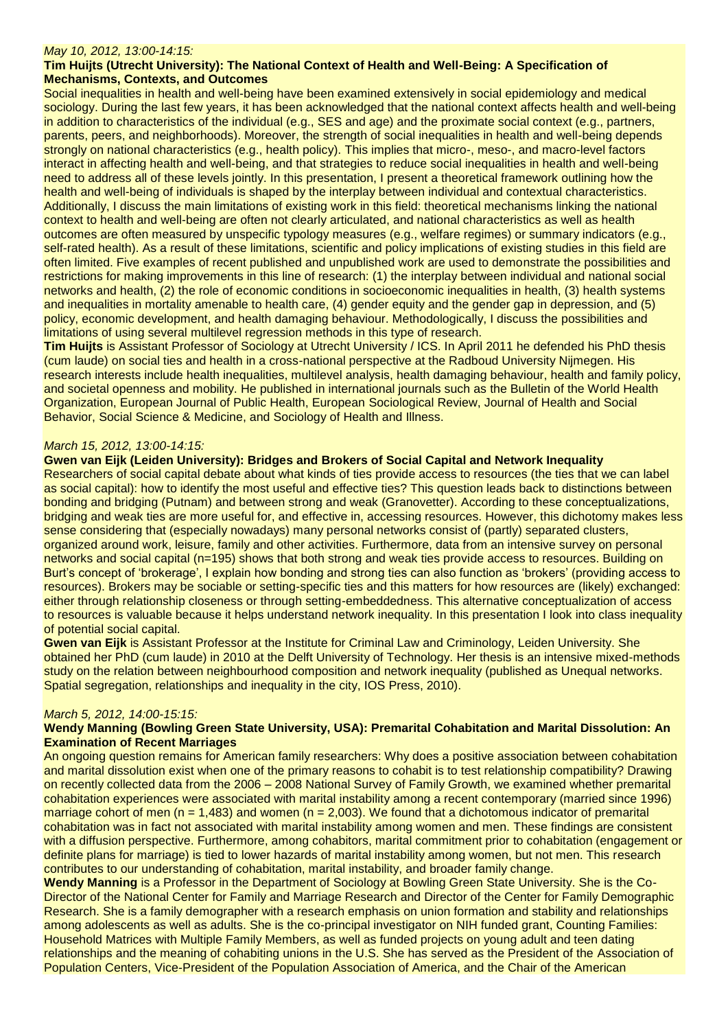#### *May 10, 2012, 13:00-14:15:*

#### **Tim Huijts (Utrecht University): The National Context of Health and Well-Being: A Specification of Mechanisms, Contexts, and Outcomes**

Social inequalities in health and well-being have been examined extensively in social epidemiology and medical sociology. During the last few years, it has been acknowledged that the national context affects health and well-being in addition to characteristics of the individual (e.g., SES and age) and the proximate social context (e.g., partners, parents, peers, and neighborhoods). Moreover, the strength of social inequalities in health and well-being depends strongly on national characteristics (e.g., health policy). This implies that micro-, meso-, and macro-level factors interact in affecting health and well-being, and that strategies to reduce social inequalities in health and well-being need to address all of these levels jointly. In this presentation, I present a theoretical framework outlining how the health and well-being of individuals is shaped by the interplay between individual and contextual characteristics. Additionally, I discuss the main limitations of existing work in this field: theoretical mechanisms linking the national context to health and well-being are often not clearly articulated, and national characteristics as well as health outcomes are often measured by unspecific typology measures (e.g., welfare regimes) or summary indicators (e.g., self-rated health). As a result of these limitations, scientific and policy implications of existing studies in this field are often limited. Five examples of recent published and unpublished work are used to demonstrate the possibilities and restrictions for making improvements in this line of research: (1) the interplay between individual and national social networks and health, (2) the role of economic conditions in socioeconomic inequalities in health, (3) health systems and inequalities in mortality amenable to health care, (4) gender equity and the gender gap in depression, and (5) policy, economic development, and health damaging behaviour. Methodologically, I discuss the possibilities and limitations of using several multilevel regression methods in this type of research.

**Tim Huijts** is Assistant Professor of Sociology at Utrecht University / ICS. In April 2011 he defended his PhD thesis (cum laude) on social ties and health in a cross-national perspective at the Radboud University Nijmegen. His research interests include health inequalities, multilevel analysis, health damaging behaviour, health and family policy, and societal openness and mobility. He published in international journals such as the Bulletin of the World Health Organization, European Journal of Public Health, European Sociological Review, Journal of Health and Social Behavior, Social Science & Medicine, and Sociology of Health and Illness.

#### *March 15, 2012, 13:00-14:15:*

#### **Gwen van Eijk (Leiden University): Bridges and Brokers of Social Capital and Network Inequality**

Researchers of social capital debate about what kinds of ties provide access to resources (the ties that we can label as social capital): how to identify the most useful and effective ties? This question leads back to distinctions between bonding and bridging (Putnam) and between strong and weak (Granovetter). According to these conceptualizations, bridging and weak ties are more useful for, and effective in, accessing resources. However, this dichotomy makes less sense considering that (especially nowadays) many personal networks consist of (partly) separated clusters, organized around work, leisure, family and other activities. Furthermore, data from an intensive survey on personal networks and social capital (n=195) shows that both strong and weak ties provide access to resources. Building on Burt's concept of 'brokerage', I explain how bonding and strong ties can also function as 'brokers' (providing access to resources). Brokers may be sociable or setting-specific ties and this matters for how resources are (likely) exchanged: either through relationship closeness or through setting-embeddedness. This alternative conceptualization of access to resources is valuable because it helps understand network inequality. In this presentation I look into class inequality of potential social capital.

**Gwen van Eijk** is Assistant Professor at the Institute for Criminal Law and Criminology, Leiden University. She obtained her PhD (cum laude) in 2010 at the Delft University of Technology. Her thesis is an intensive mixed-methods study on the relation between neighbourhood composition and network inequality (published as Unequal networks. Spatial segregation, relationships and inequality in the city, IOS Press, 2010).

#### *March 5, 2012, 14:00-15:15:*

## **Wendy Manning (Bowling Green State University, USA): Premarital Cohabitation and Marital Dissolution: An Examination of Recent Marriages**

An ongoing question remains for American family researchers: Why does a positive association between cohabitation and marital dissolution exist when one of the primary reasons to cohabit is to test relationship compatibility? Drawing on recently collected data from the 2006 – 2008 National Survey of Family Growth, we examined whether premarital cohabitation experiences were associated with marital instability among a recent contemporary (married since 1996) marriage cohort of men ( $n = 1,483$ ) and women ( $n = 2,003$ ). We found that a dichotomous indicator of premarital cohabitation was in fact not associated with marital instability among women and men. These findings are consistent with a diffusion perspective. Furthermore, among cohabitors, marital commitment prior to cohabitation (engagement or definite plans for marriage) is tied to lower hazards of marital instability among women, but not men. This research contributes to our understanding of cohabitation, marital instability, and broader family change.

**Wendy Manning** is a Professor in the Department of Sociology at Bowling Green State University. She is the Co-Director of the National Center for Family and Marriage Research and Director of the Center for Family Demographic Research. She is a family demographer with a research emphasis on union formation and stability and relationships among adolescents as well as adults. She is the co-principal investigator on NIH funded grant, Counting Families: Household Matrices with Multiple Family Members, as well as funded projects on young adult and teen dating relationships and the meaning of cohabiting unions in the U.S. She has served as the President of the Association of Population Centers, Vice-President of the Population Association of America, and the Chair of the American